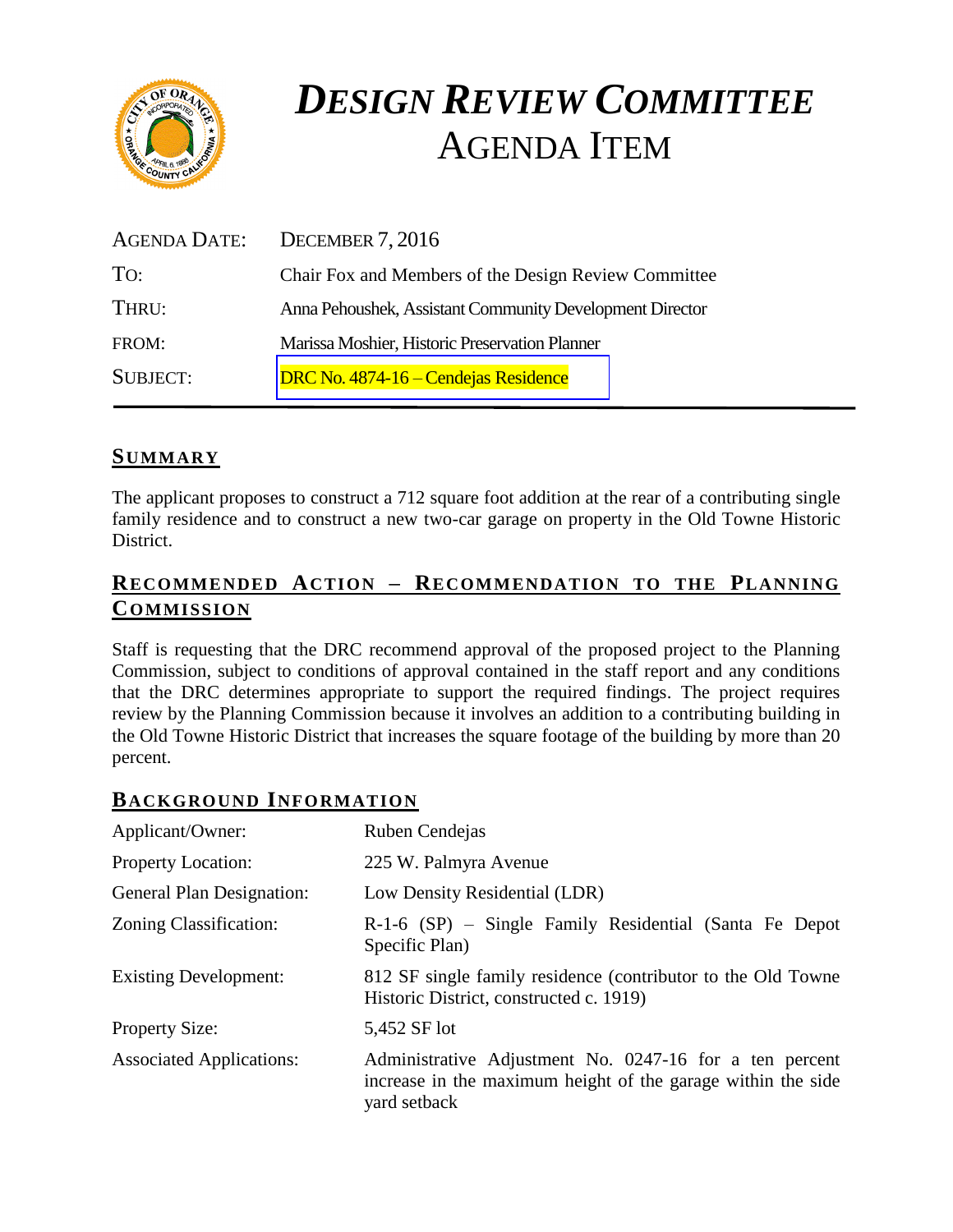

# *DESIGN REVIEW COMMITTEE*  AGENDA ITEM

| AGENDA DATE:    | DECEMBER 7, 2016                                         |
|-----------------|----------------------------------------------------------|
| TO:             | Chair Fox and Members of the Design Review Committee     |
| THRU:           | Anna Pehoushek, Assistant Community Development Director |
| FROM:           | Marissa Moshier, Historic Preservation Planner           |
| <b>SUBJECT:</b> | DRC No. 4874-16 – Cendejas Residence                     |

## **SUMMARY**

The applicant proposes to construct a 712 square foot addition at the rear of a contributing single family residence and to construct a new two-car garage on property in the Old Towne Historic District.

## **RECOMMENDED ACTION – RECOMMENDATION TO THE PLANNING COMMISSION**

Staff is requesting that the DRC recommend approval of the proposed project to the Planning Commission, subject to conditions of approval contained in the staff report and any conditions that the DRC determines appropriate to support the required findings. The project requires review by the Planning Commission because it involves an addition to a contributing building in the Old Towne Historic District that increases the square footage of the building by more than 20 percent.

## **BACKGROUND INFORMATION**

| Applicant/Owner:                 | Ruben Cendejas                                                                                                                          |
|----------------------------------|-----------------------------------------------------------------------------------------------------------------------------------------|
| <b>Property Location:</b>        | 225 W. Palmyra Avenue                                                                                                                   |
| <b>General Plan Designation:</b> | Low Density Residential (LDR)                                                                                                           |
| Zoning Classification:           | R-1-6 (SP) – Single Family Residential (Santa Fe Depot<br>Specific Plan)                                                                |
| <b>Existing Development:</b>     | 812 SF single family residence (contributor to the Old Towne)<br>Historic District, constructed c. 1919)                                |
| <b>Property Size:</b>            | 5,452 SF lot                                                                                                                            |
| <b>Associated Applications:</b>  | Administrative Adjustment No. 0247-16 for a ten percent<br>increase in the maximum height of the garage within the side<br>yard setback |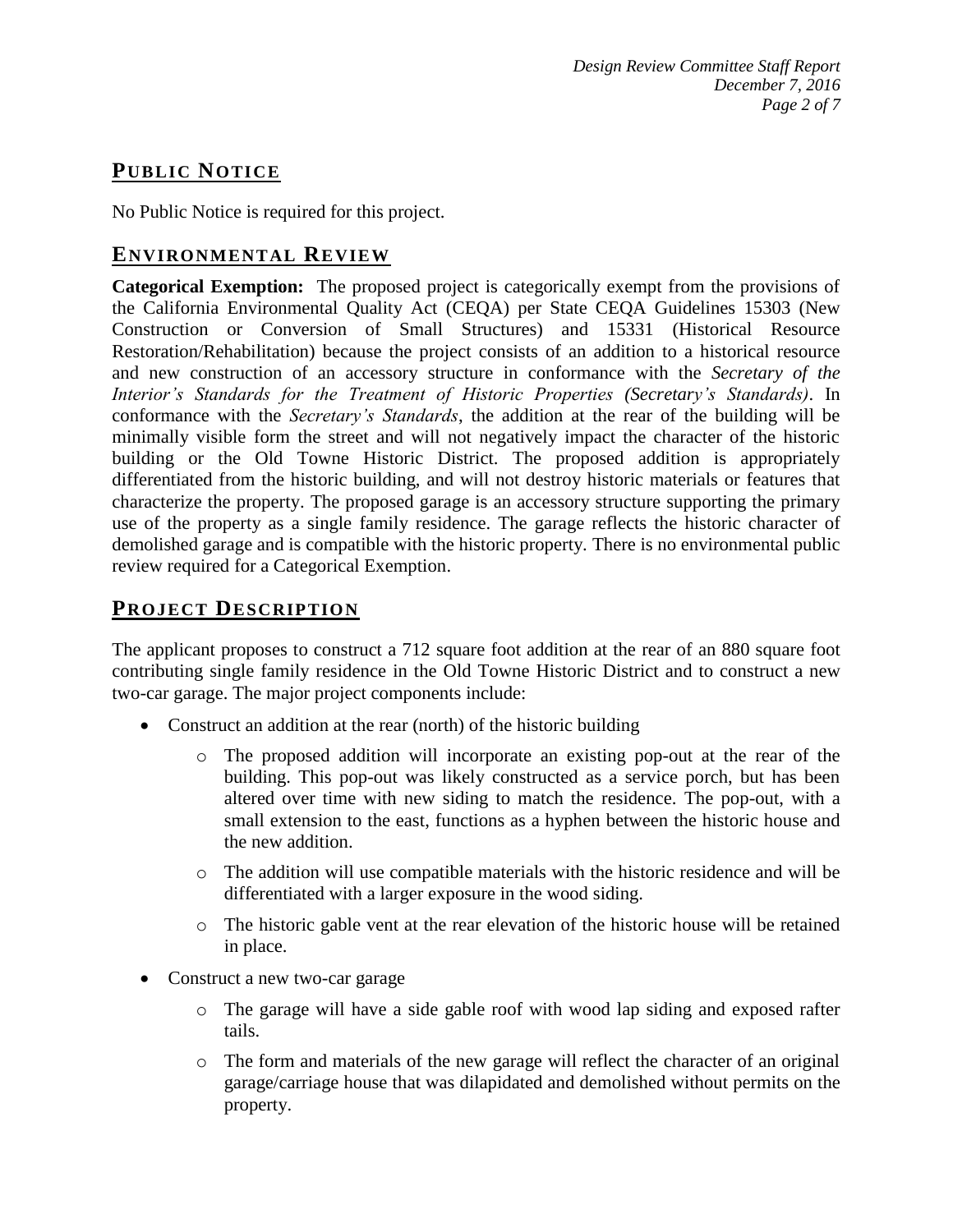# **PUB LIC NOTICE**

No Public Notice is required for this project.

## **ENVIRONMENTAL REVIEW**

**Categorical Exemption:** The proposed project is categorically exempt from the provisions of the California Environmental Quality Act (CEQA) per State CEQA Guidelines 15303 (New Construction or Conversion of Small Structures) and 15331 (Historical Resource Restoration/Rehabilitation) because the project consists of an addition to a historical resource and new construction of an accessory structure in conformance with the *Secretary of the Interior's Standards for the Treatment of Historic Properties (Secretary's Standards)*. In conformance with the *Secretary's Standards*, the addition at the rear of the building will be minimally visible form the street and will not negatively impact the character of the historic building or the Old Towne Historic District. The proposed addition is appropriately differentiated from the historic building, and will not destroy historic materials or features that characterize the property. The proposed garage is an accessory structure supporting the primary use of the property as a single family residence. The garage reflects the historic character of demolished garage and is compatible with the historic property. There is no environmental public review required for a Categorical Exemption.

# **PROJECT DESCRIP TION**

The applicant proposes to construct a 712 square foot addition at the rear of an 880 square foot contributing single family residence in the Old Towne Historic District and to construct a new two-car garage. The major project components include:

- Construct an addition at the rear (north) of the historic building
	- o The proposed addition will incorporate an existing pop-out at the rear of the building. This pop-out was likely constructed as a service porch, but has been altered over time with new siding to match the residence. The pop-out, with a small extension to the east, functions as a hyphen between the historic house and the new addition.
	- o The addition will use compatible materials with the historic residence and will be differentiated with a larger exposure in the wood siding.
	- o The historic gable vent at the rear elevation of the historic house will be retained in place.
- Construct a new two-car garage
	- o The garage will have a side gable roof with wood lap siding and exposed rafter tails.
	- o The form and materials of the new garage will reflect the character of an original garage/carriage house that was dilapidated and demolished without permits on the property.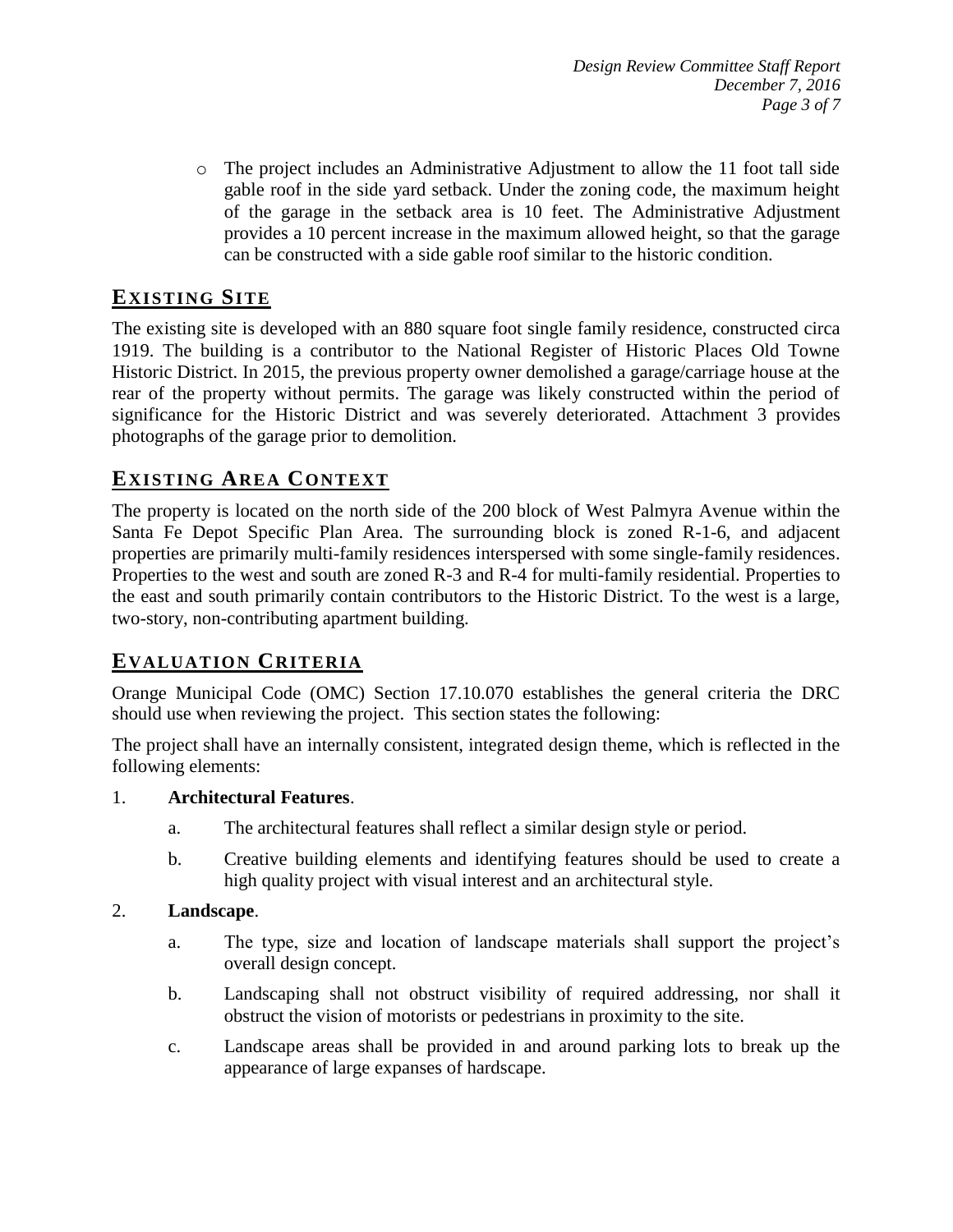o The project includes an Administrative Adjustment to allow the 11 foot tall side gable roof in the side yard setback. Under the zoning code, the maximum height of the garage in the setback area is 10 feet. The Administrative Adjustment provides a 10 percent increase in the maximum allowed height, so that the garage can be constructed with a side gable roof similar to the historic condition.

# **EXISTING SITE**

The existing site is developed with an 880 square foot single family residence, constructed circa 1919. The building is a contributor to the National Register of Historic Places Old Towne Historic District. In 2015, the previous property owner demolished a garage/carriage house at the rear of the property without permits. The garage was likely constructed within the period of significance for the Historic District and was severely deteriorated. Attachment 3 provides photographs of the garage prior to demolition.

## **EXISTING AREA CONTEXT**

The property is located on the north side of the 200 block of West Palmyra Avenue within the Santa Fe Depot Specific Plan Area. The surrounding block is zoned R-1-6, and adjacent properties are primarily multi-family residences interspersed with some single-family residences. Properties to the west and south are zoned R-3 and R-4 for multi-family residential. Properties to the east and south primarily contain contributors to the Historic District. To the west is a large, two-story, non-contributing apartment building.

# **EVALUATION CRITERIA**

Orange Municipal Code (OMC) Section 17.10.070 establishes the general criteria the DRC should use when reviewing the project. This section states the following:

The project shall have an internally consistent, integrated design theme, which is reflected in the following elements:

#### 1. **Architectural Features**.

- a. The architectural features shall reflect a similar design style or period.
- b. Creative building elements and identifying features should be used to create a high quality project with visual interest and an architectural style.

#### 2. **Landscape**.

- a. The type, size and location of landscape materials shall support the project's overall design concept.
- b. Landscaping shall not obstruct visibility of required addressing, nor shall it obstruct the vision of motorists or pedestrians in proximity to the site.
- c. Landscape areas shall be provided in and around parking lots to break up the appearance of large expanses of hardscape.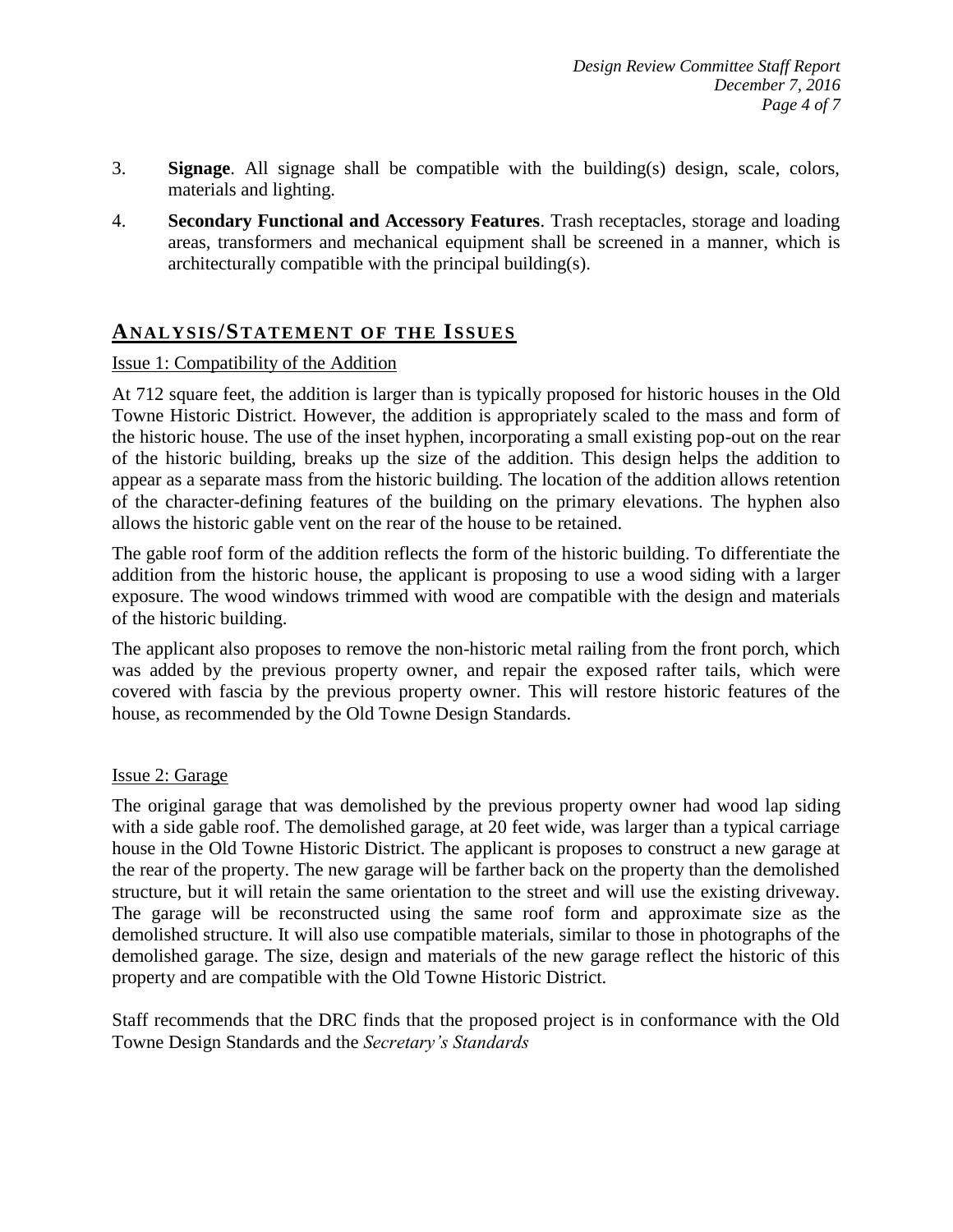- 3. **Signage**. All signage shall be compatible with the building(s) design, scale, colors, materials and lighting.
- 4. **Secondary Functional and Accessory Features**. Trash receptacles, storage and loading areas, transformers and mechanical equipment shall be screened in a manner, which is architecturally compatible with the principal building(s).

## **ANALY SIS/STATEMENT OF THE ISSUES**

#### Issue 1: Compatibility of the Addition

At 712 square feet, the addition is larger than is typically proposed for historic houses in the Old Towne Historic District. However, the addition is appropriately scaled to the mass and form of the historic house. The use of the inset hyphen, incorporating a small existing pop-out on the rear of the historic building, breaks up the size of the addition. This design helps the addition to appear as a separate mass from the historic building. The location of the addition allows retention of the character-defining features of the building on the primary elevations. The hyphen also allows the historic gable vent on the rear of the house to be retained.

The gable roof form of the addition reflects the form of the historic building. To differentiate the addition from the historic house, the applicant is proposing to use a wood siding with a larger exposure. The wood windows trimmed with wood are compatible with the design and materials of the historic building.

The applicant also proposes to remove the non-historic metal railing from the front porch, which was added by the previous property owner, and repair the exposed rafter tails, which were covered with fascia by the previous property owner. This will restore historic features of the house, as recommended by the Old Towne Design Standards.

#### Issue 2: Garage

The original garage that was demolished by the previous property owner had wood lap siding with a side gable roof. The demolished garage, at 20 feet wide, was larger than a typical carriage house in the Old Towne Historic District. The applicant is proposes to construct a new garage at the rear of the property. The new garage will be farther back on the property than the demolished structure, but it will retain the same orientation to the street and will use the existing driveway. The garage will be reconstructed using the same roof form and approximate size as the demolished structure. It will also use compatible materials, similar to those in photographs of the demolished garage. The size, design and materials of the new garage reflect the historic of this property and are compatible with the Old Towne Historic District.

Staff recommends that the DRC finds that the proposed project is in conformance with the Old Towne Design Standards and the *Secretary's Standards*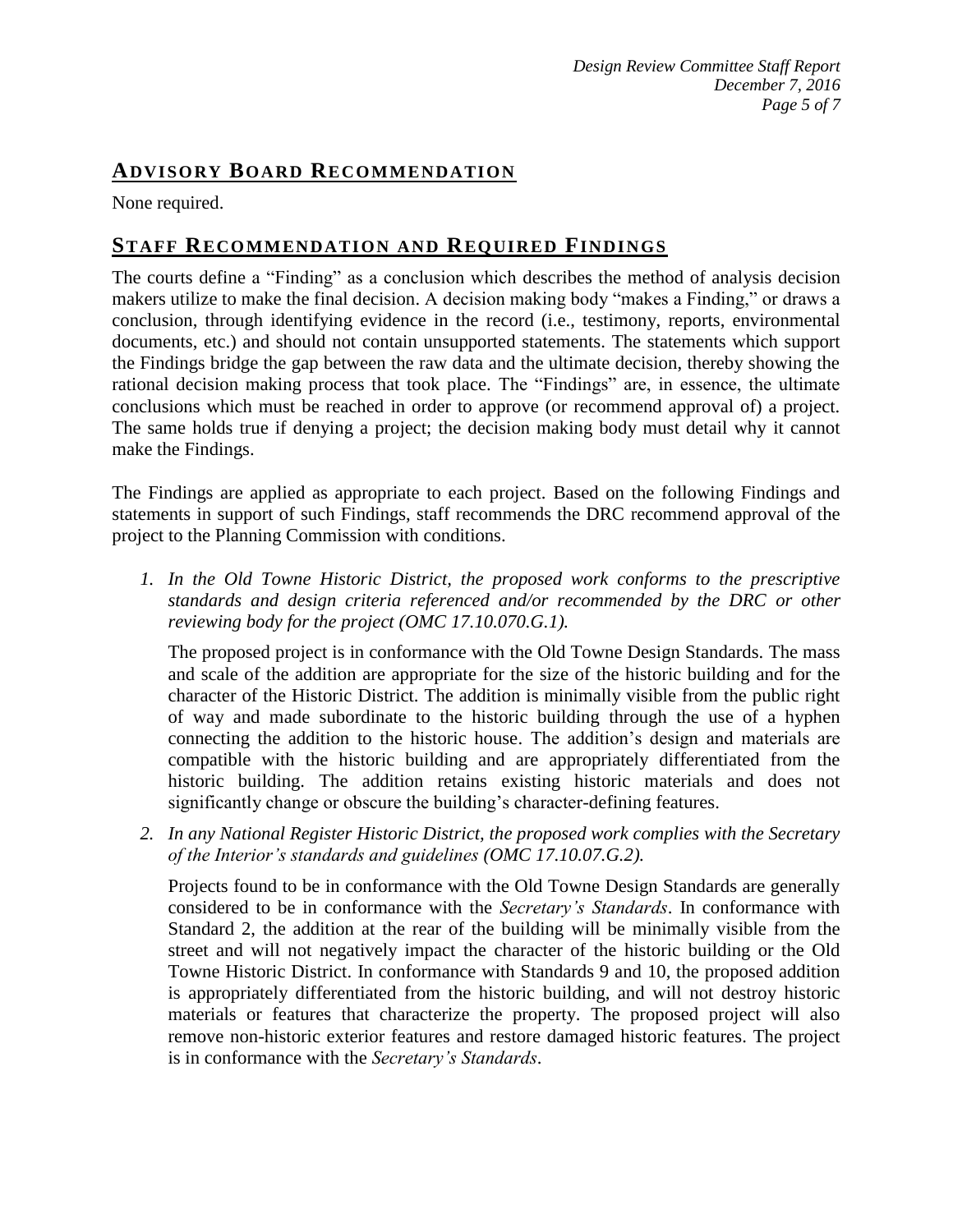## **ADVISORY BOARD RECOMMENDATION**

None required.

## **STAFF RECOMMENDATION AND REQUIRED FINDINGS**

The courts define a "Finding" as a conclusion which describes the method of analysis decision makers utilize to make the final decision. A decision making body "makes a Finding," or draws a conclusion, through identifying evidence in the record (i.e., testimony, reports, environmental documents, etc.) and should not contain unsupported statements. The statements which support the Findings bridge the gap between the raw data and the ultimate decision, thereby showing the rational decision making process that took place. The "Findings" are, in essence, the ultimate conclusions which must be reached in order to approve (or recommend approval of) a project. The same holds true if denying a project; the decision making body must detail why it cannot make the Findings.

The Findings are applied as appropriate to each project. Based on the following Findings and statements in support of such Findings, staff recommends the DRC recommend approval of the project to the Planning Commission with conditions.

*1. In the Old Towne Historic District, the proposed work conforms to the prescriptive standards and design criteria referenced and/or recommended by the DRC or other reviewing body for the project (OMC 17.10.070.G.1).*

The proposed project is in conformance with the Old Towne Design Standards. The mass and scale of the addition are appropriate for the size of the historic building and for the character of the Historic District. The addition is minimally visible from the public right of way and made subordinate to the historic building through the use of a hyphen connecting the addition to the historic house. The addition's design and materials are compatible with the historic building and are appropriately differentiated from the historic building. The addition retains existing historic materials and does not significantly change or obscure the building's character-defining features.

*2. In any National Register Historic District, the proposed work complies with the Secretary of the Interior's standards and guidelines (OMC 17.10.07.G.2).*

Projects found to be in conformance with the Old Towne Design Standards are generally considered to be in conformance with the *Secretary's Standards*. In conformance with Standard 2, the addition at the rear of the building will be minimally visible from the street and will not negatively impact the character of the historic building or the Old Towne Historic District. In conformance with Standards 9 and 10, the proposed addition is appropriately differentiated from the historic building, and will not destroy historic materials or features that characterize the property. The proposed project will also remove non-historic exterior features and restore damaged historic features. The project is in conformance with the *Secretary's Standards*.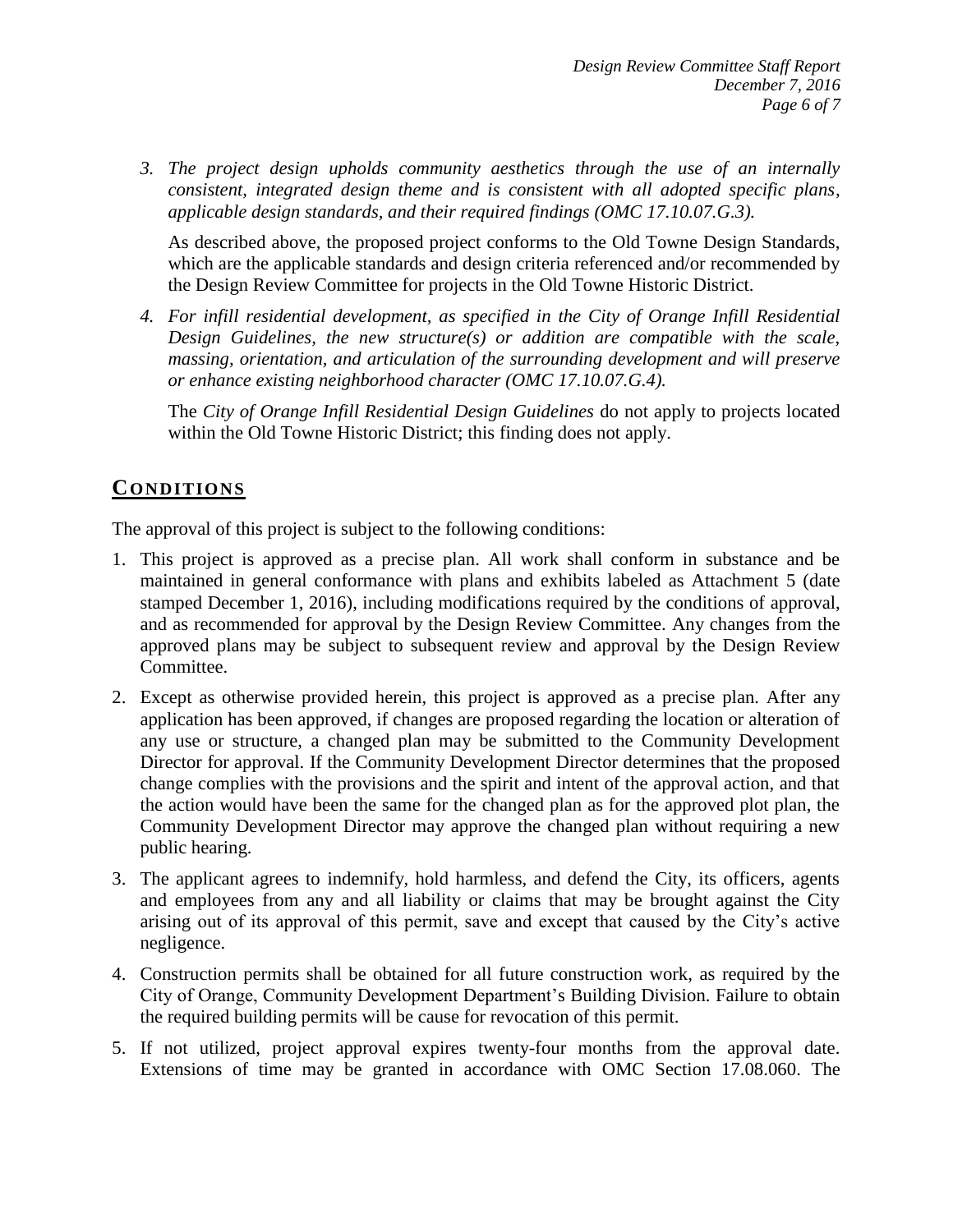*3. The project design upholds community aesthetics through the use of an internally consistent, integrated design theme and is consistent with all adopted specific plans, applicable design standards, and their required findings (OMC 17.10.07.G.3).*

As described above, the proposed project conforms to the Old Towne Design Standards, which are the applicable standards and design criteria referenced and/or recommended by the Design Review Committee for projects in the Old Towne Historic District.

*4. For infill residential development, as specified in the City of Orange Infill Residential Design Guidelines, the new structure(s) or addition are compatible with the scale, massing, orientation, and articulation of the surrounding development and will preserve or enhance existing neighborhood character (OMC 17.10.07.G.4).*

The *City of Orange Infill Residential Design Guidelines* do not apply to projects located within the Old Towne Historic District; this finding does not apply.

# **CONDITIONS**

The approval of this project is subject to the following conditions:

- 1. This project is approved as a precise plan. All work shall conform in substance and be maintained in general conformance with plans and exhibits labeled as Attachment 5 (date stamped December 1, 2016), including modifications required by the conditions of approval, and as recommended for approval by the Design Review Committee. Any changes from the approved plans may be subject to subsequent review and approval by the Design Review Committee.
- 2. Except as otherwise provided herein, this project is approved as a precise plan. After any application has been approved, if changes are proposed regarding the location or alteration of any use or structure, a changed plan may be submitted to the Community Development Director for approval. If the Community Development Director determines that the proposed change complies with the provisions and the spirit and intent of the approval action, and that the action would have been the same for the changed plan as for the approved plot plan, the Community Development Director may approve the changed plan without requiring a new public hearing.
- 3. The applicant agrees to indemnify, hold harmless, and defend the City, its officers, agents and employees from any and all liability or claims that may be brought against the City arising out of its approval of this permit, save and except that caused by the City's active negligence.
- 4. Construction permits shall be obtained for all future construction work, as required by the City of Orange, Community Development Department's Building Division. Failure to obtain the required building permits will be cause for revocation of this permit.
- 5. If not utilized, project approval expires twenty-four months from the approval date. Extensions of time may be granted in accordance with OMC Section 17.08.060. The